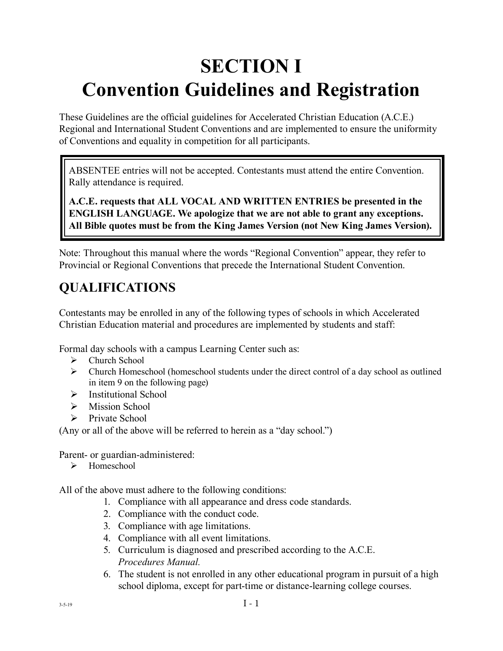# **SECTION I Convention Guidelines and Registration**

These Guidelines are the official guidelines for Accelerated Christian Education (A.C.E.) Regional and International Student Conventions and are implemented to ensure the uniformity of Conventions and equality in competition for all participants.

ABSENTEE entries will not be accepted. Contestants must attend the entire Convention. Rally attendance is required.

**A.C.E. requests that ALL VOCAL AND WRITTEN ENTRIES be presented in the ENGLISH LANGUAGE. We apologize that we are not able to grant any exceptions. All Bible quotes must be from the King James Version (not New King James Version).** 

Note: Throughout this manual where the words "Regional Convention" appear, they refer to Provincial or Regional Conventions that precede the International Student Convention.

# **QUALIFICATIONS**

Contestants may be enrolled in any of the following types of schools in which Accelerated Christian Education material and procedures are implemented by students and staff:

Formal day schools with a campus Learning Center such as:

- $\triangleright$  Church School
- $\triangleright$  Church Homeschool (homeschool students under the direct control of a day school as outlined in item 9 on the following page)
- $\triangleright$  Institutional School
- $\triangleright$  Mission School
- $\triangleright$  Private School

(Any or all of the above will be referred to herein as a "day school.")

Parent- or guardian-administered:

¾ Homeschool

All of the above must adhere to the following conditions:

- 1. Compliance with all appearance and dress code standards.
- 2. Compliance with the conduct code.
- 3. Compliance with age limitations.
- 4. Compliance with all event limitations.
- 5. Curriculum is diagnosed and prescribed according to the A.C.E. *Procedures Manual.*
- 6. The student is not enrolled in any other educational program in pursuit of a high school diploma, except for part-time or distance-learning college courses.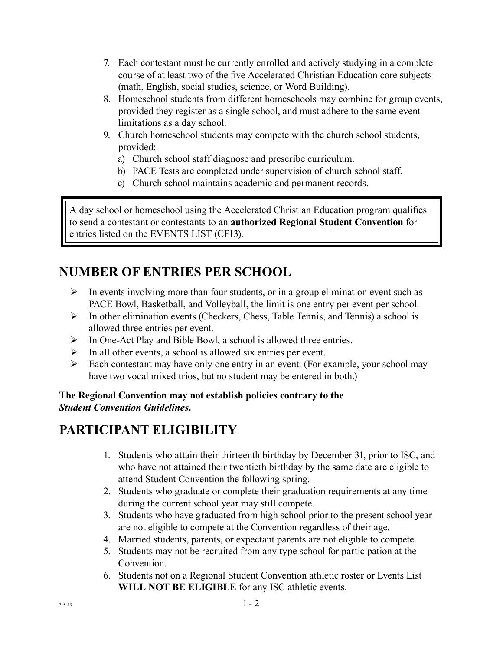- 7. Each contestant must be currently enrolled and actively studying in a complete course of at least two of the five Accelerated Christian Education core subjects (math, English, social studies, science, or Word Building).
- 8. Homeschool students from different homeschools may combine for group events, provided they register as a single school, and must adhere to the same event limitations as a day school.
- 9. Church homeschool students may compete with the church school students, provided:
	- a) Church school staff diagnose and prescribe curriculum.
	- b) PACE Tests are completed under supervision of church school staff.
	- c) Church school maintains academic and permanent records.

A day school or homeschool using the Accelerated Christian Education program qualifies to send a contestant or contestants to an **authorized Regional Student Convention** for entries listed on the EVENTS LIST (CF13).

### **NUMBER OF ENTRIES PER SCHOOL**

- $\triangleright$  In events involving more than four students, or in a group elimination event such as PACE Bowl, Basketball, and Volleyball, the limit is one entry per event per school.
- $\triangleright$  In other elimination events (Checkers, Chess, Table Tennis, and Tennis) a school is allowed three entries per event.
- ¾ In One-Act Play and Bible Bowl, a school is allowed three entries.
- $\triangleright$  In all other events, a school is allowed six entries per event.
- $\triangleright$  Each contestant may have only one entry in an event. (For example, your school may have two vocal mixed trios, but no student may be entered in both.)

**The Regional Convention may not establish policies contrary to the**  *Student Convention Guidelines***.**

## **PARTICIPANT ELIGIBILITY**

- 1. Students who attain their thirteenth birthday by December 31, prior to ISC, and who have not attained their twentieth birthday by the same date are eligible to attend Student Convention the following spring.
- 2. Students who graduate or complete their graduation requirements at any time during the current school year may still compete.
- 3. Students who have graduated from high school prior to the present school year are not eligible to compete at the Convention regardless of their age.
- 4. Married students, parents, or expectant parents are not eligible to compete.
- 5. Students may not be recruited from any type school for participation at the Convention.
- 6. Students not on a Regional Student Convention athletic roster or Events List **WILL NOT BE ELIGIBLE** for any ISC athletic events.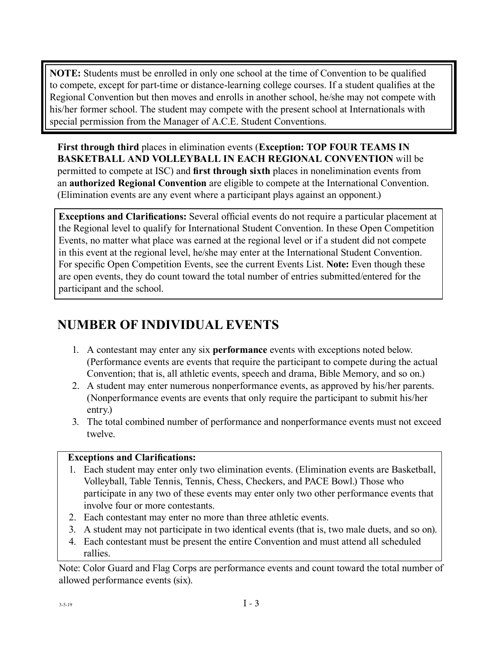**NOTE:** Students must be enrolled in only one school at the time of Convention to be qualified to compete, except for part-time or distance-learning college courses. If a student qualifies at the Regional Convention but then moves and enrolls in another school, he/she may not compete with his/her former school. The student may compete with the present school at Internationals with special permission from the Manager of A.C.E. Student Conventions.

**First through third** places in elimination events (**Exception: TOP FOUR TEAMS IN BASKETBALL AND VOLLEYBALL IN EACH REGIONAL CONVENTION** will be permitted to compete at ISC) and **first through sixth** places in nonelimination events from an **authorized Regional Convention** are eligible to compete at the International Convention. (Elimination events are any event where a participant plays against an opponent.)

**Exceptions and Clarifications:** Several official events do not require a particular placement at the Regional level to qualify for International Student Convention. In these Open Competition Events, no matter what place was earned at the regional level or if a student did not compete in this event at the regional level, he/she may enter at the International Student Convention. For specific Open Competition Events, see the current Events List. **Note:** Even though these are open events, they do count toward the total number of entries submitted/entered for the participant and the school.

# **NUMBER OF INDIVIDUAL EVENTS**

- 1. A contestant may enter any six **performance** events with exceptions noted below. (Performance events are events that require the participant to compete during the actual Convention; that is, all athletic events, speech and drama, Bible Memory, and so on.)
- 2. A student may enter numerous nonperformance events, as approved by his/her parents. (Nonperformance events are events that only require the participant to submit his/her entry.)
- 3. The total combined number of performance and nonperformance events must not exceed twelve.

#### **Exceptions and Clarifications:**

- 1. Each student may enter only two elimination events. (Elimination events are Basketball, Volleyball, Table Tennis, Tennis, Chess, Checkers, and PACE Bowl.) Those who participate in any two of these events may enter only two other performance events that involve four or more contestants.
- 2. Each contestant may enter no more than three athletic events.
- 3. A student may not participate in two identical events (that is, two male duets, and so on).
- 4. Each contestant must be present the entire Convention and must attend all scheduled rallies.

Note: Color Guard and Flag Corps are performance events and count toward the total number of allowed performance events (six).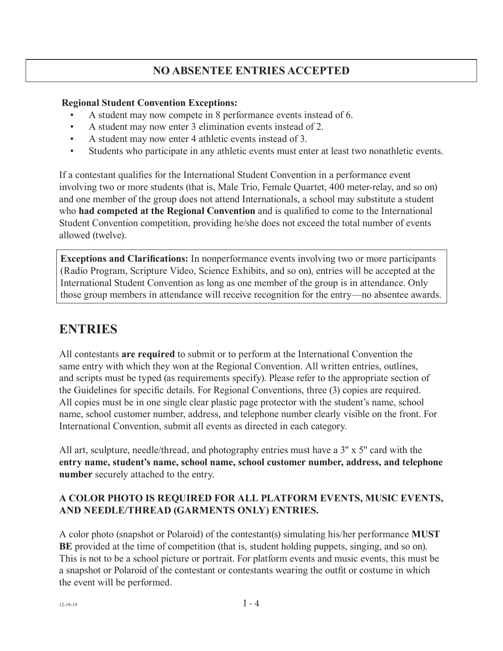### **NO ABSENTEE ENTRIES ACCEPTED**

#### **Regional Student Convention Exceptions:**

- A student may now compete in 8 performance events instead of 6.
- A student may now enter 3 elimination events instead of 2.
- A student may now enter 4 athletic events instead of 3.
- Students who participate in any athletic events must enter at least two nonathletic events.

If a contestant qualifies for the International Student Convention in a performance event involving two or more students (that is, Male Trio, Female Quartet, 400 meter-relay, and so on) and one member of the group does not attend Internationals, a school may substitute a student who **had competed at the Regional Convention** and is qualified to come to the International Student Convention competition, providing he/she does not exceed the total number of events allowed (twelve).

**Exceptions and Clarifications:** In nonperformance events involving two or more participants (Radio Program, Scripture Video, Science Exhibits, and so on), entries will be accepted at the International Student Convention as long as one member of the group is in attendance. Only those group members in attendance will receive recognition for the entry—no absentee awards.

### **ENTRIES**

All contestants **are required** to submit or to perform at the International Convention the same entry with which they won at the Regional Convention. All written entries, outlines, and scripts must be typed (as requirements specify). Please refer to the appropriate section of the Guidelines for specific details. For Regional Conventions, three (3) copies are required. All copies must be in one single clear plastic page protector with the student's name, school name, school customer number, address, and telephone number clearly visible on the front. For International Convention, submit all events as directed in each category.

All art, sculpture, needle/thread, and photography entries must have a 3'' x 5'' card with the **entry name, student's name, school name, school customer number, address, and telephone number** securely attached to the entry.

#### **A COLOR PHOTO IS REQUIRED FOR ALL PLATFORM EVENTS, MUSIC EVENTS, AND NEEDLE/THREAD (GARMENTS ONLY) ENTRIES.**

A color photo (snapshot or Polaroid) of the contestant(s) simulating his/her performance **MUST BE** provided at the time of competition (that is, student holding puppets, singing, and so on). This is not to be a school picture or portrait. For platform events and music events, this must be a snapshot or Polaroid of the contestant or contestants wearing the outfit or costume in which the event will be performed.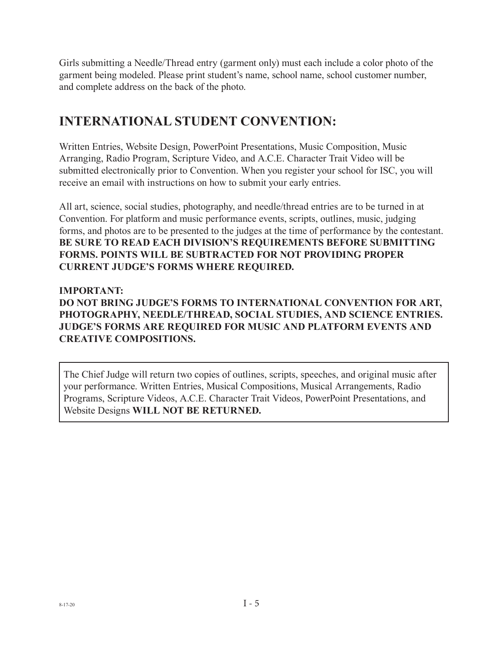Girls submitting a Needle/Thread entry (garment only) must each include a color photo of the garment being modeled. Please print student's name, school name, school customer number, and complete address on the back of the photo.

### **INTERNATIONAL STUDENT CONVENTION:**

Written Entries, Website Design, PowerPoint Presentations, Music Composition, Music Arranging, Radio Program, Scripture Video, and A.C.E. Character Trait Video will be submitted electronically prior to Convention. When you register your school for ISC, you will receive an email with instructions on how to submit your early entries.

All art, science, social studies, photography, and needle/thread entries are to be turned in at Convention. For platform and music performance events, scripts, outlines, music, judging forms, and photos are to be presented to the judges at the time of performance by the contestant. **BE SURE TO READ EACH DIVISION'S REQUIREMENTS BEFORE SUBMITTING FORMS. POINTS WILL BE SUBTRACTED FOR NOT PROVIDING PROPER CURRENT JUDGE'S FORMS WHERE REQUIRED.**

#### **IMPORTANT:**

**DO NOT BRING JUDGE'S FORMS TO INTERNATIONAL CONVENTION FOR ART, PHOTOGRAPHY, NEEDLE/THREAD, SOCIAL STUDIES, AND SCIENCE ENTRIES. JUDGE'S FORMS ARE REQUIRED FOR MUSIC AND PLATFORM EVENTS AND CREATIVE COMPOSITIONS.**

The Chief Judge will return two copies of outlines, scripts, speeches, and original music after your performance. Written Entries, Musical Compositions, Musical Arrangements, Radio Programs, Scripture Videos, A.C.E. Character Trait Videos, PowerPoint Presentations, and Website Designs **WILL NOT BE RETURNED.**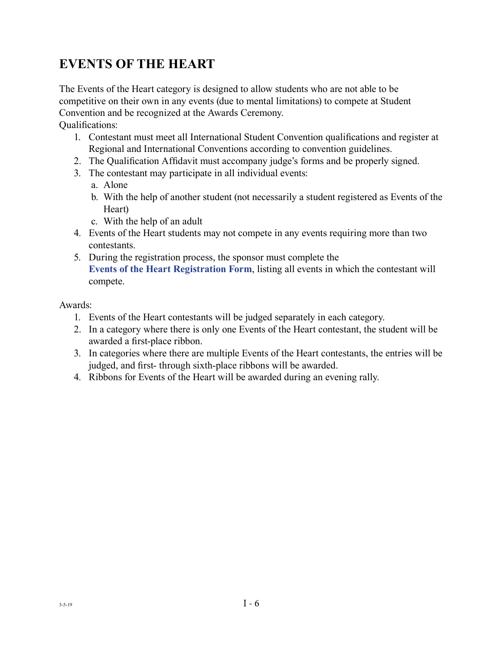### **EVENTS OF THE HEART**

The Events of the Heart category is designed to allow students who are not able to be competitive on their own in any events (due to mental limitations) to compete at Student Convention and be recognized at the Awards Ceremony.

Qualifications:

- 1. Contestant must meet all International Student Convention qualifications and register at Regional and International Conventions according to convention guidelines.
- 2. The Qualification Affidavit must accompany judge's forms and be properly signed.
- 3. The contestant may participate in all individual events:
	- a. Alone
	- b. With the help of another student (not necessarily a student registered as Events of the Heart)
	- c. With the help of an adult
- 4. Events of the Heart students may not compete in any events requiring more than two contestants.
- 5. During the registration process, the sponsor must complete the **[Events of the Heart Registration Form](https://www.acestudentprograms.com/media/pageimg/EventsoftheHeart_RegForm.pdf)**, listing all events in which the contestant will compete.

#### Awards:

- 1. Events of the Heart contestants will be judged separately in each category.
- 2. In a category where there is only one Events of the Heart contestant, the student will be awarded a first-place ribbon.
- 3. In categories where there are multiple Events of the Heart contestants, the entries will be judged, and first- through sixth-place ribbons will be awarded.
- 4. Ribbons for Events of the Heart will be awarded during an evening rally.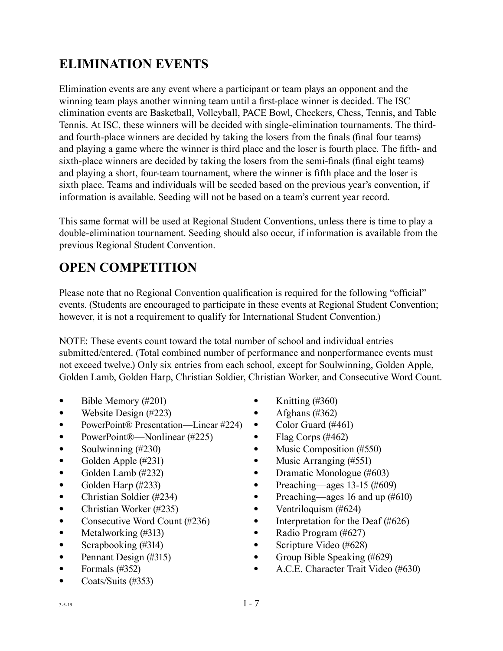# **ELIMINATION EVENTS**

Elimination events are any event where a participant or team plays an opponent and the winning team plays another winning team until a first-place winner is decided. The ISC elimination events are Basketball, Volleyball, PACE Bowl, Checkers, Chess, Tennis, and Table Tennis. At ISC, these winners will be decided with single-elimination tournaments. The thirdand fourth-place winners are decided by taking the losers from the finals (final four teams) and playing a game where the winner is third place and the loser is fourth place. The fifth- and sixth-place winners are decided by taking the losers from the semi-finals (final eight teams) and playing a short, four-team tournament, where the winner is fifth place and the loser is sixth place. Teams and individuals will be seeded based on the previous year's convention, if information is available. Seeding will not be based on a team's current year record.

This same format will be used at Regional Student Conventions, unless there is time to play a double-elimination tournament. Seeding should also occur, if information is available from the previous Regional Student Convention.

# **OPEN COMPETITION**

Please note that no Regional Convention qualification is required for the following "official" events. (Students are encouraged to participate in these events at Regional Student Convention; however, it is not a requirement to qualify for International Student Convention.)

NOTE: These events count toward the total number of school and individual entries submitted/entered. (Total combined number of performance and nonperformance events must not exceed twelve.) Only six entries from each school, except for Soulwinning, Golden Apple, Golden Lamb, Golden Harp, Christian Soldier, Christian Worker, and Consecutive Word Count.

- Bible Memory (#201)
- Website Design (#223)
- PowerPoint® Presentation—Linear #224)
- PowerPoint®—Nonlinear (#225)
- Soulwinning  $(\#230)$
- Golden Apple (#231)
- Golden Lamb (#232)
- Golden Harp (#233)
- Christian Soldier (#234)
- Christian Worker (#235)
- Consecutive Word Count (#236)
- Metalworking (#313)
- Scrapbooking (#314)
- Pennant Design (#315)
- Formals  $(\#352)$
- Coats/Suits (#353)
- Knitting  $(\#360)$
- Afghans  $(\#362)$
- Color Guard (#461)
- Flag Corps  $(\#462)$
- Music Composition (#550)
- Music Arranging (#551)
- Dramatic Monologue (#603)
- Preaching—ages 13-15  $(\#609)$
- Preaching—ages 16 and up (#610)
- Ventriloquism  $(\#624)$
- Interpretation for the Deaf (#626)
- Radio Program (#627)
- Scripture Video (#628)
- Group Bible Speaking (#629)
- A.C.E. Character Trait Video (#630)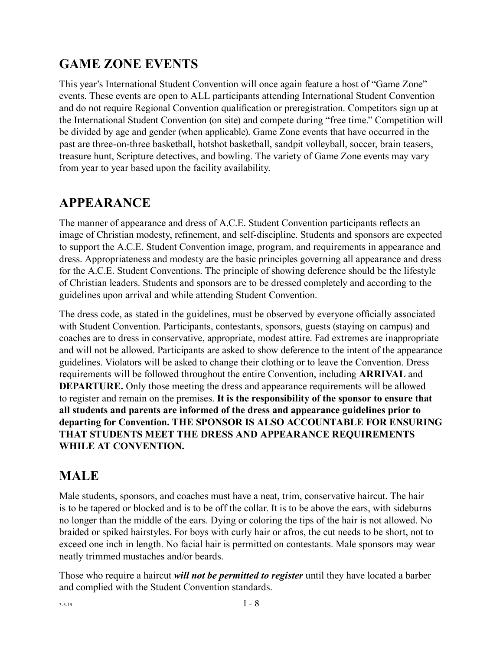### **GAME ZONE EVENTS**

This year's International Student Convention will once again feature a host of "Game Zone" events. These events are open to ALL participants attending International Student Convention and do not require Regional Convention qualification or preregistration. Competitors sign up at the International Student Convention (on site) and compete during "free time." Competition will be divided by age and gender (when applicable). Game Zone events that have occurred in the past are three-on-three basketball, hotshot basketball, sandpit volleyball, soccer, brain teasers, treasure hunt, Scripture detectives, and bowling. The variety of Game Zone events may vary from year to year based upon the facility availability.

### **APPEARANCE**

The manner of appearance and dress of A.C.E. Student Convention participants reflects an image of Christian modesty, refinement, and self-discipline. Students and sponsors are expected to support the A.C.E. Student Convention image, program, and requirements in appearance and dress. Appropriateness and modesty are the basic principles governing all appearance and dress for the A.C.E. Student Conventions. The principle of showing deference should be the lifestyle of Christian leaders. Students and sponsors are to be dressed completely and according to the guidelines upon arrival and while attending Student Convention.

The dress code, as stated in the guidelines, must be observed by everyone officially associated with Student Convention. Participants, contestants, sponsors, guests (staying on campus) and coaches are to dress in conservative, appropriate, modest attire. Fad extremes are inappropriate and will not be allowed. Participants are asked to show deference to the intent of the appearance guidelines. Violators will be asked to change their clothing or to leave the Convention. Dress requirements will be followed throughout the entire Convention, including **ARRIVAL** and **DEPARTURE.** Only those meeting the dress and appearance requirements will be allowed to register and remain on the premises. **It is the responsibility of the sponsor to ensure that all students and parents are informed of the dress and appearance guidelines prior to departing for Convention. THE SPONSOR IS ALSO ACCOUNTABLE FOR ENSURING THAT STUDENTS MEET THE DRESS AND APPEARANCE REQUIREMENTS WHILE AT CONVENTION.**

### **MALE**

Male students, sponsors, and coaches must have a neat, trim, conservative haircut. The hair is to be tapered or blocked and is to be off the collar. It is to be above the ears, with sideburns no longer than the middle of the ears. Dying or coloring the tips of the hair is not allowed. No braided or spiked hairstyles. For boys with curly hair or afros, the cut needs to be short, not to exceed one inch in length. No facial hair is permitted on contestants. Male sponsors may wear neatly trimmed mustaches and/or beards.

Those who require a haircut *will not be permitted to register* until they have located a barber and complied with the Student Convention standards.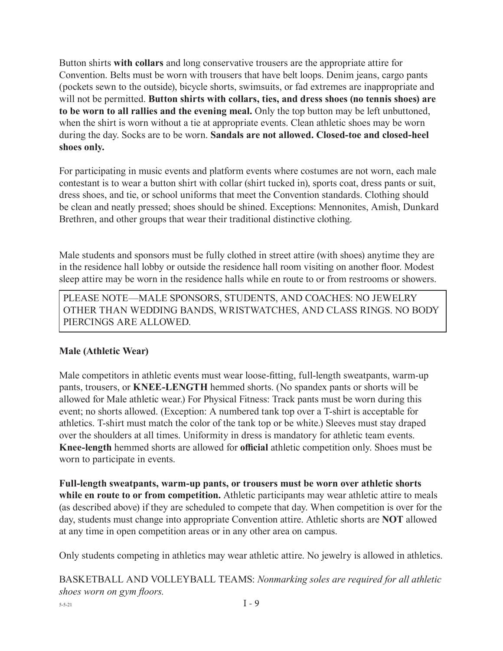Button shirts **with collars** and long conservative trousers are the appropriate attire for Convention. Belts must be worn with trousers that have belt loops. Denim jeans, cargo pants (pockets sewn to the outside), bicycle shorts, swimsuits, or fad extremes are inappropriate and will not be permitted. **Button shirts with collars, ties, and dress shoes (no tennis shoes) are to be worn to all rallies and the evening meal.** Only the top button may be left unbuttoned, when the shirt is worn without a tie at appropriate events. Clean athletic shoes may be worn during the day. Socks are to be worn. **Sandals are not allowed. Closed-toe and closed-heel shoes only.**

For participating in music events and platform events where costumes are not worn, each male contestant is to wear a button shirt with collar (shirt tucked in), sports coat, dress pants or suit, dress shoes, and tie, or school uniforms that meet the Convention standards. Clothing should be clean and neatly pressed; shoes should be shined. Exceptions: Mennonites, Amish, Dunkard Brethren, and other groups that wear their traditional distinctive clothing.

Male students and sponsors must be fully clothed in street attire (with shoes) anytime they are in the residence hall lobby or outside the residence hall room visiting on another floor. Modest sleep attire may be worn in the residence halls while en route to or from restrooms or showers.

PLEASE NOTE—MALE SPONSORS, STUDENTS, AND COACHES: NO JEWELRY OTHER THAN WEDDING BANDS, WRISTWATCHES, AND CLASS RINGS. NO BODY PIERCINGS ARE ALLOWED.

#### **Male (Athletic Wear)**

Male competitors in athletic events must wear loose-fitting, full-length sweatpants, warm-up pants, trousers, or **KNEE-LENGTH** hemmed shorts. (No spandex pants or shorts will be allowed for Male athletic wear.) For Physical Fitness: Track pants must be worn during this event; no shorts allowed. (Exception: A numbered tank top over a T-shirt is acceptable for athletics. T-shirt must match the color of the tank top or be white.) Sleeves must stay draped over the shoulders at all times. Uniformity in dress is mandatory for athletic team events. **Knee-length** hemmed shorts are allowed for **official** athletic competition only. Shoes must be worn to participate in events.

**Full-length sweatpants, warm-up pants, or trousers must be worn over athletic shorts while en route to or from competition.** Athletic participants may wear athletic attire to meals (as described above) if they are scheduled to compete that day. When competition is over for the day, students must change into appropriate Convention attire. Athletic shorts are **NOT** allowed at any time in open competition areas or in any other area on campus.

Only students competing in athletics may wear athletic attire. No jewelry is allowed in athletics.

 $I - 9$ BASKETBALL AND VOLLEYBALL TEAMS: *Nonmarking soles are required for all athletic shoes worn on gym floors.*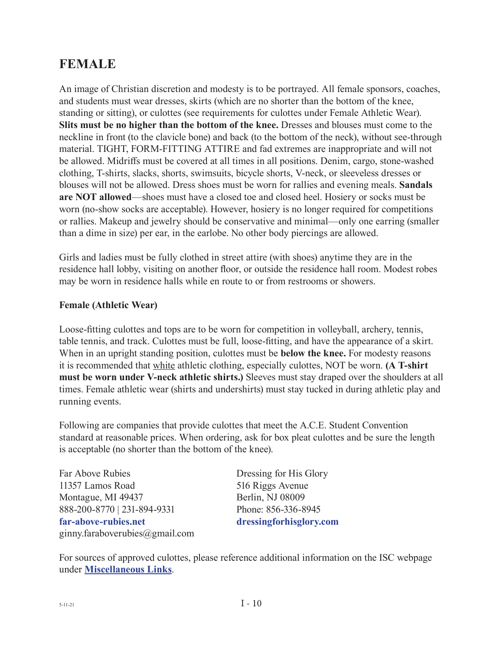### **FEMALE**

An image of Christian discretion and modesty is to be portrayed. All female sponsors, coaches, and students must wear dresses, skirts (which are no shorter than the bottom of the knee, standing or sitting), or culottes (see requirements for culottes under Female Athletic Wear). **Slits must be no higher than the bottom of the knee.** Dresses and blouses must come to the neckline in front (to the clavicle bone) and back (to the bottom of the neck), without see-through material. TIGHT, FORM-FITTING ATTIRE and fad extremes are inappropriate and will not be allowed. Midriffs must be covered at all times in all positions. Denim, cargo, stone-washed clothing, T-shirts, slacks, shorts, swimsuits, bicycle shorts, V-neck, or sleeveless dresses or blouses will not be allowed. Dress shoes must be worn for rallies and evening meals. **Sandals are NOT allowed**—shoes must have a closed toe and closed heel. Hosiery or socks must be worn (no-show socks are acceptable). However, hosiery is no longer required for competitions or rallies. Makeup and jewelry should be conservative and minimal—only one earring (smaller than a dime in size) per ear, in the earlobe. No other body piercings are allowed.

Girls and ladies must be fully clothed in street attire (with shoes) anytime they are in the residence hall lobby, visiting on another floor, or outside the residence hall room. Modest robes may be worn in residence halls while en route to or from restrooms or showers.

#### **Female (Athletic Wear)**

Loose-fitting culottes and tops are to be worn for competition in volleyball, archery, tennis, table tennis, and track. Culottes must be full, loose-fitting, and have the appearance of a skirt. When in an upright standing position, culottes must be **below the knee.** For modesty reasons it is recommended that white athletic clothing, especially culottes, NOT be worn. **(A T-shirt must be worn under V-neck athletic shirts.)** Sleeves must stay draped over the shoulders at all times. Female athletic wear (shirts and undershirts) must stay tucked in during athletic play and running events.

Following are companies that provide culottes that meet the A.C.E. Student Convention standard at reasonable prices. When ordering, ask for box pleat culottes and be sure the length is acceptable (no shorter than the bottom of the knee).

| Far Above Rubies               | Dressing for His Glory  |
|--------------------------------|-------------------------|
| 11357 Lamos Road               | 516 Riggs Avenue        |
| Montague, MI 49437             | Berlin, NJ 08009        |
| 888-200-8770   231-894-9331    | Phone: 856-336-8945     |
| far-above-rubies.net           | dressingforhisglory.com |
| ginny.faraboverubies@gmail.com |                         |

For sources of approved culottes, please reference additional information on the ISC webpage under **[Miscellaneous Links](https://www.acestudentprograms.com/guidelines)**.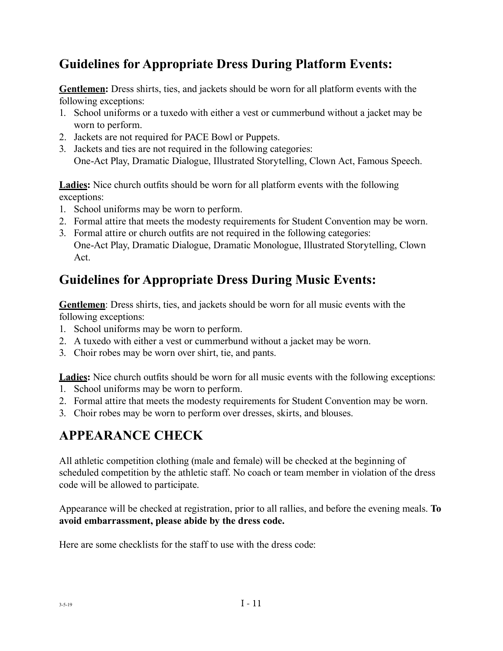### **Guidelines for Appropriate Dress During Platform Events:**

**Gentlemen:** Dress shirts, ties, and jackets should be worn for all platform events with the following exceptions:

- 1. School uniforms or a tuxedo with either a vest or cummerbund without a jacket may be worn to perform.
- 2. Jackets are not required for PACE Bowl or Puppets.
- 3. Jackets and ties are not required in the following categories: One-Act Play, Dramatic Dialogue, Illustrated Storytelling, Clown Act, Famous Speech.

**Ladies:** Nice church outfits should be worn for all platform events with the following exceptions:

- 1. School uniforms may be worn to perform.
- 2. Formal attire that meets the modesty requirements for Student Convention may be worn.
- 3. Formal attire or church outfits are not required in the following categories: One-Act Play, Dramatic Dialogue, Dramatic Monologue, Illustrated Storytelling, Clown Act.

### **Guidelines for Appropriate Dress During Music Events:**

**Gentlemen**: Dress shirts, ties, and jackets should be worn for all music events with the following exceptions:

- 1. School uniforms may be worn to perform.
- 2. A tuxedo with either a vest or cummerbund without a jacket may be worn.
- 3. Choir robes may be worn over shirt, tie, and pants.

**Ladies:** Nice church outfits should be worn for all music events with the following exceptions:

- 1. School uniforms may be worn to perform.
- 2. Formal attire that meets the modesty requirements for Student Convention may be worn.
- 3. Choir robes may be worn to perform over dresses, skirts, and blouses.

### **APPEARANCE CHECK**

All athletic competition clothing (male and female) will be checked at the beginning of scheduled competition by the athletic staff. No coach or team member in violation of the dress code will be allowed to participate.

Appearance will be checked at registration, prior to all rallies, and before the evening meals. **To avoid embarrassment, please abide by the dress code.**

Here are some checklists for the staff to use with the dress code: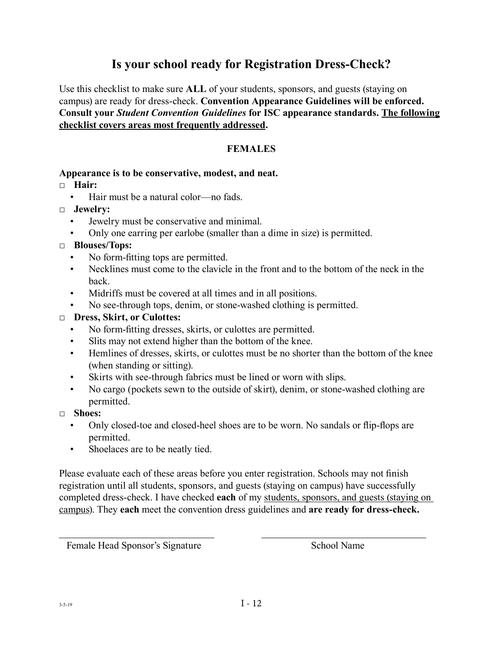### **Is your school ready for Registration Dress-Check?**

Use this checklist to make sure **ALL** of your students, sponsors, and guests (staying on campus) are ready for dress-check. **Convention Appearance Guidelines will be enforced. Consult your** *Student Convention Guidelines* **for ISC appearance standards. The following checklist covers areas most frequently addressed.**

#### **FEMALES**

#### **Appearance is to be conservative, modest, and neat.**

□ **Hair:**

- Hair must be a natural color—no fads
- □ **Jewelry:**
	- Jewelry must be conservative and minimal.
	- Only one earring per earlobe (smaller than a dime in size) is permitted.

#### □ **Blouses/Tops:**

- No form-fitting tops are permitted.
- Necklines must come to the clavicle in the front and to the bottom of the neck in the back.
- Midriffs must be covered at all times and in all positions.
- No see-through tops, denim, or stone-washed clothing is permitted.

#### □ **Dress, Skirt, or Culottes:**

- No form-fitting dresses, skirts, or culottes are permitted.
- Slits may not extend higher than the bottom of the knee.
- Hemlines of dresses, skirts, or culottes must be no shorter than the bottom of the knee (when standing or sitting).
- Skirts with see-through fabrics must be lined or worn with slips.
- No cargo (pockets sewn to the outside of skirt), denim, or stone-washed clothing are permitted.
- □ **Shoes:**
	- Only closed-toe and closed-heel shoes are to be worn. No sandals or flip-flops are permitted.
	- Shoelaces are to be neatly tied.

Please evaluate each of these areas before you enter registration. Schools may not finish registration until all students, sponsors, and guests (staying on campus) have successfully completed dress-check. I have checked **each** of my students, sponsors, and guests (staying on campus). They **each** meet the convention dress guidelines and **are ready for dress-check.**

Female Head Sponsor's Signature School Name

 $\overline{a}$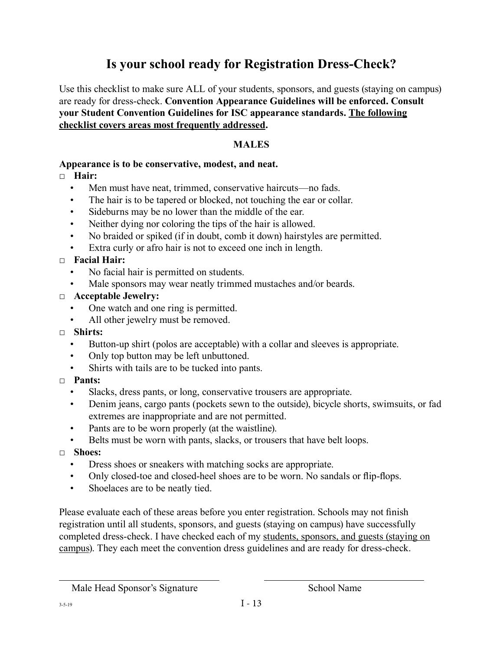### **Is your school ready for Registration Dress-Check?**

Use this checklist to make sure ALL of your students, sponsors, and guests (staying on campus) are ready for dress-check. **Convention Appearance Guidelines will be enforced. Consult your Student Convention Guidelines for ISC appearance standards. The following checklist covers areas most frequently addressed.** 

#### **MALES**

#### **Appearance is to be conservative, modest, and neat.**

#### □ **Hair:**

- Men must have neat, trimmed, conservative haircuts—no fads.
- The hair is to be tapered or blocked, not touching the ear or collar.
- Sideburns may be no lower than the middle of the ear.
- Neither dying nor coloring the tips of the hair is allowed.
- No braided or spiked (if in doubt, comb it down) hairstyles are permitted.
- Extra curly or afro hair is not to exceed one inch in length.

#### □ **Facial Hair:**

- No facial hair is permitted on students.
- Male sponsors may wear neatly trimmed mustaches and/or beards.

#### □ **Acceptable Jewelry:**

- One watch and one ring is permitted.
- All other jewelry must be removed.
- □ **Shirts:**
	- Button-up shirt (polos are acceptable) with a collar and sleeves is appropriate.
	- Only top button may be left unbuttoned.
	- Shirts with tails are to be tucked into pants.

#### □ **Pants:**

- Slacks, dress pants, or long, conservative trousers are appropriate.
- Denim jeans, cargo pants (pockets sewn to the outside), bicycle shorts, swimsuits, or fad extremes are inappropriate and are not permitted.
- Pants are to be worn properly (at the waistline).
- Belts must be worn with pants, slacks, or trousers that have belt loops.
- □ **Shoes:**
	- Dress shoes or sneakers with matching socks are appropriate.
	- Only closed-toe and closed-heel shoes are to be worn. No sandals or flip-flops.
	- Shoelaces are to be neatly tied.

Please evaluate each of these areas before you enter registration. Schools may not finish registration until all students, sponsors, and guests (staying on campus) have successfully completed dress-check. I have checked each of my students, sponsors, and guests (staying on campus). They each meet the convention dress guidelines and are ready for dress-check.

 $\overline{a}$ 

Male Head Sponsor's Signature School Name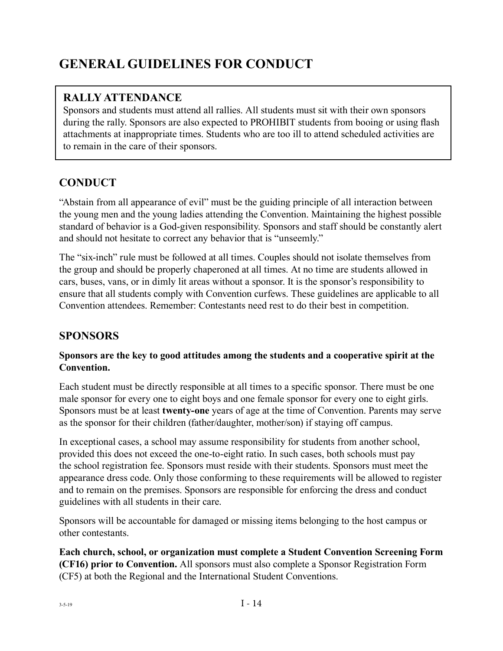# **GENERAL GUIDELINES FOR CONDUCT**

### **RALLY ATTENDANCE**

Sponsors and students must attend all rallies. All students must sit with their own sponsors during the rally. Sponsors are also expected to PROHIBIT students from booing or using flash attachments at inappropriate times. Students who are too ill to attend scheduled activities are to remain in the care of their sponsors.

### **CONDUCT**

"Abstain from all appearance of evil" must be the guiding principle of all interaction between the young men and the young ladies attending the Convention. Maintaining the highest possible standard of behavior is a God-given responsibility. Sponsors and staff should be constantly alert and should not hesitate to correct any behavior that is "unseemly."

The "six-inch" rule must be followed at all times. Couples should not isolate themselves from the group and should be properly chaperoned at all times. At no time are students allowed in cars, buses, vans, or in dimly lit areas without a sponsor. It is the sponsor's responsibility to ensure that all students comply with Convention curfews. These guidelines are applicable to all Convention attendees. Remember: Contestants need rest to do their best in competition.

### **SPONSORS**

#### **Sponsors are the key to good attitudes among the students and a cooperative spirit at the Convention.**

Each student must be directly responsible at all times to a specific sponsor. There must be one male sponsor for every one to eight boys and one female sponsor for every one to eight girls. Sponsors must be at least **twenty-one** years of age at the time of Convention. Parents may serve as the sponsor for their children (father/daughter, mother/son) if staying off campus.

In exceptional cases, a school may assume responsibility for students from another school, provided this does not exceed the one-to-eight ratio. In such cases, both schools must pay the school registration fee. Sponsors must reside with their students. Sponsors must meet the appearance dress code. Only those conforming to these requirements will be allowed to register and to remain on the premises. Sponsors are responsible for enforcing the dress and conduct guidelines with all students in their care.

Sponsors will be accountable for damaged or missing items belonging to the host campus or other contestants.

**Each church, school, or organization must complete a Student Convention Screening Form (CF16) prior to Convention.** All sponsors must also complete a Sponsor Registration Form (CF5) at both the Regional and the International Student Conventions.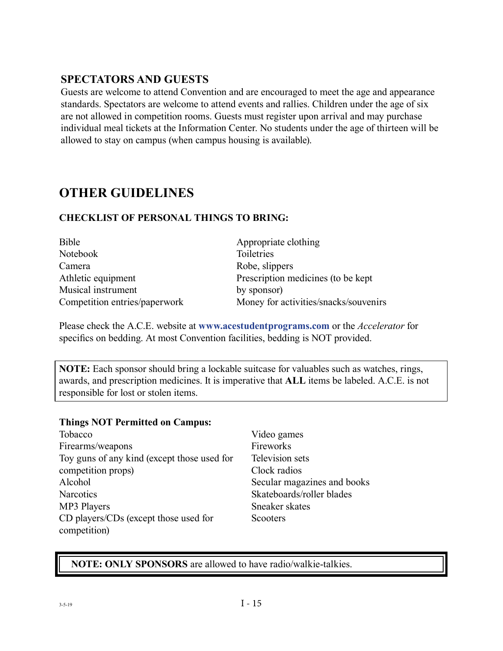### **SPECTATORS AND GUESTS**

Guests are welcome to attend Convention and are encouraged to meet the age and appearance standards. Spectators are welcome to attend events and rallies. Children under the age of six are not allowed in competition rooms. Guests must register upon arrival and may purchase individual meal tickets at the Information Center. No students under the age of thirteen will be allowed to stay on campus (when campus housing is available).

### **OTHER GUIDELINES**

#### **CHECKLIST OF PERSONAL THINGS TO BRING:**

| Bible                         | Appropriate clothing                  |
|-------------------------------|---------------------------------------|
| Notebook                      | Toiletries                            |
| Camera                        | Robe, slippers                        |
| Athletic equipment            | Prescription medicines (to be kept)   |
| Musical instrument            | by sponsor)                           |
| Competition entries/paperwork | Money for activities/snacks/souvenirs |

Please check the A.C.E. website at **www.acestudentprograms.com** or the *Accelerator* for specifics on bedding. At most Convention facilities, bedding is NOT provided.

**NOTE:** Each sponsor should bring a lockable suitcase for valuables such as watches, rings, awards, and prescription medicines. It is imperative that **ALL** items be labeled. A.C.E. is not responsible for lost or stolen items.

#### **Things NOT Permitted on Campus:**

| Tobacco                                     |
|---------------------------------------------|
| Firearms/weapons                            |
| Toy guns of any kind (except those used for |
| competition props)                          |
| Alcohol                                     |
| <b>Narcotics</b>                            |
| MP3 Players                                 |
| CD players/CDs (except those used for       |
| competition)                                |

Video games Fireworks Television sets Clock radios Secular magazines and books Skateboards/roller blades Sneaker skates Scooters

#### **NOTE: ONLY SPONSORS** are allowed to have radio/walkie-talkies.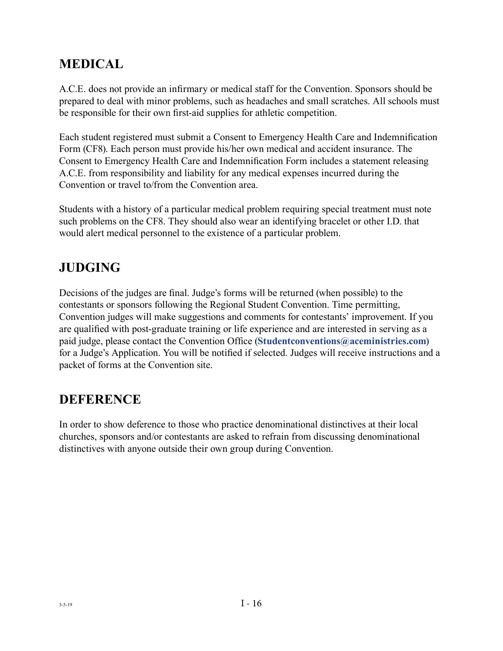### **MEDICAL**

A.C.E. does not provide an infirmary or medical staff for the Convention. Sponsors should be prepared to deal with minor problems, such as headaches and small scratches. All schools must be responsible for their own first-aid supplies for athletic competition.

Each student registered must submit a Consent to Emergency Health Care and Indemnification Form (CF8). Each person must provide his/her own medical and accident insurance. The Consent to Emergency Health Care and Indemnification Form includes a statement releasing A.C.E. from responsibility and liability for any medical expenses incurred during the Convention or travel to/from the Convention area.

Students with a history of a particular medical problem requiring special treatment must note such problems on the CF8. They should also wear an identifying bracelet or other I.D. that would alert medical personnel to the existence of a particular problem.

### **JUDGING**

Decisions of the judges are final. Judge's forms will be returned (when possible) to the contestants or sponsors following the Regional Student Convention. Time permitting, Convention judges will make suggestions and comments for contestants' improvement. If you are qualified with post-graduate training or life experience and are interested in serving as a paid judge, please contact the Convention Office (**Studentconventions@aceministries.com)** for a Judge's Application. You will be notified if selected. Judges will receive instructions and a packet of forms at the Convention site.

### **DEFERENCE**

In order to show deference to those who practice denominational distinctives at their local churches, sponsors and/or contestants are asked to refrain from discussing denominational distinctives with anyone outside their own group during Convention.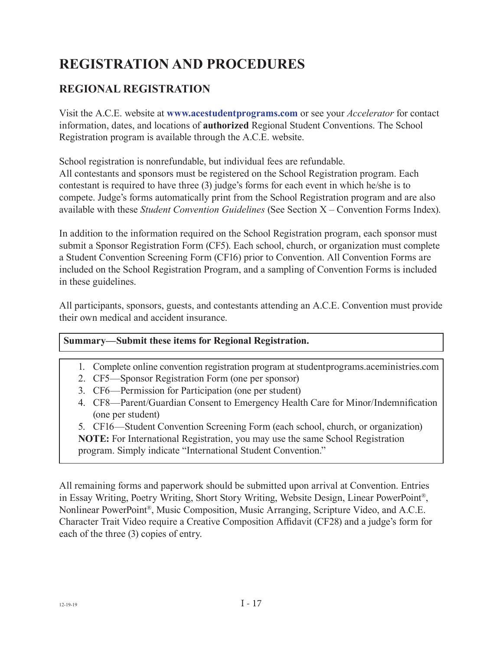# **REGISTRATION AND PROCEDURES**

### **REGIONAL REGISTRATION**

Visit the A.C.E. website at **www.acestudentprograms.com** or see your *Accelerator* for contact information, dates, and locations of **authorized** Regional Student Conventions. The School Registration program is available through the A.C.E. website.

School registration is nonrefundable, but individual fees are refundable.

All contestants and sponsors must be registered on the School Registration program. Each contestant is required to have three (3) judge's forms for each event in which he/she is to compete. Judge's forms automatically print from the School Registration program and are also available with these *Student Convention Guidelines* (See Section X – Convention Forms Index).

In addition to the information required on the School Registration program, each sponsor must submit a Sponsor Registration Form (CF5). Each school, church, or organization must complete a Student Convention Screening Form (CF16) prior to Convention. All Convention Forms are included on the School Registration Program, and a sampling of Convention Forms is included in these guidelines.

All participants, sponsors, guests, and contestants attending an A.C.E. Convention must provide their own medical and accident insurance.

#### **Summary—Submit these items for Regional Registration.**

1. Complete online convention registration program at studentprograms.aceministries.com

2. CF5—Sponsor Registration Form (one per sponsor)

- 3. CF6—Permission for Participation (one per student)
- 4. CF8—Parent/Guardian Consent to Emergency Health Care for Minor/Indemnification (one per student)

5. CF16—Student Convention Screening Form (each school, church, or organization) **NOTE:** For International Registration, you may use the same School Registration program. Simply indicate "International Student Convention."

All remaining forms and paperwork should be submitted upon arrival at Convention. Entries in Essay Writing, Poetry Writing, Short Story Writing, Website Design, Linear PowerPoint®, Nonlinear PowerPoint®, Music Composition, Music Arranging, Scripture Video, and A.C.E. Character Trait Video require a Creative Composition Affidavit (CF28) and a judge's form for each of the three (3) copies of entry.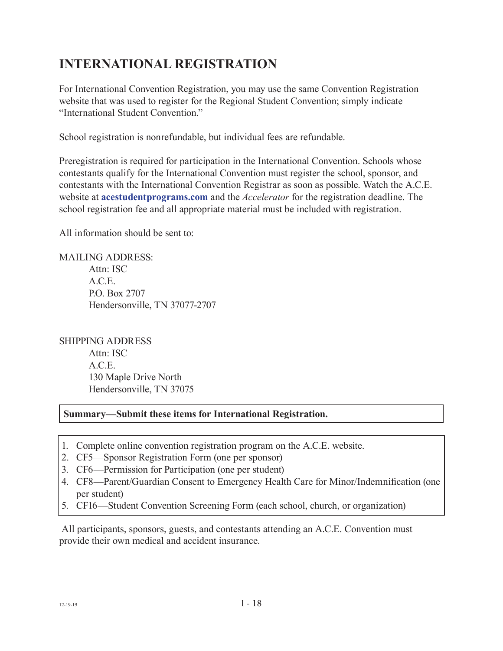### **INTERNATIONAL REGISTRATION**

For International Convention Registration, you may use the same Convention Registration website that was used to register for the Regional Student Convention; simply indicate "International Student Convention."

School registration is nonrefundable, but individual fees are refundable.

Preregistration is required for participation in the International Convention. Schools whose contestants qualify for the International Convention must register the school, sponsor, and contestants with the International Convention Registrar as soon as possible. Watch the A.C.E. website at **acestudentprograms.com** and the *Accelerator* for the registration deadline. The school registration fee and all appropriate material must be included with registration.

All information should be sent to:

MAILING ADDRESS: Attn: ISC A.C.E. P.O. Box 2707 Hendersonville, TN 37077-2707

SHIPPING ADDRESS Attn: ISC A.C.E. 130 Maple Drive North Hendersonville, TN 37075

#### **Summary—Submit these items for International Registration.**

- 1. Complete online convention registration program on the A.C.E. website.
- 2. CF5—Sponsor Registration Form (one per sponsor)
- 3. CF6—Permission for Participation (one per student)
- 4. CF8—Parent/Guardian Consent to Emergency Health Care for Minor/Indemnification (one per student)
- 5. CF16—Student Convention Screening Form (each school, church, or organization)

 All participants, sponsors, guests, and contestants attending an A.C.E. Convention must provide their own medical and accident insurance.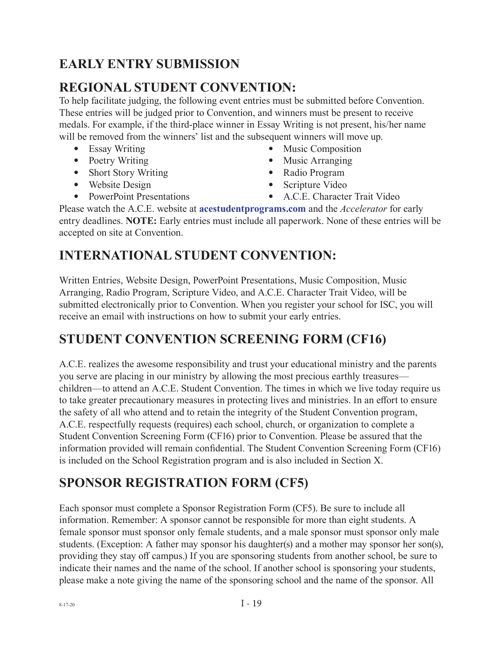### **EARLY ENTRY SUBMISSION**

### **REGIONAL STUDENT CONVENTION:**

To help facilitate judging, the following event entries must be submitted before Convention. These entries will be judged prior to Convention, and winners must be present to receive medals. For example, if the third-place winner in Essay Writing is not present, his/her name will be removed from the winners' list and the subsequent winners will move up.

- Essay Writing
- Poetry Writing
- Short Story Writing
- Website Design
- PowerPoint Presentations
- Music Composition
- Music Arranging
- Radio Program
- Scripture Video
- A.C.E. Character Trait Video

Please watch the A.C.E. website at **[acestudentprograms.com](https://www.acestudentprograms.com/)** and the *Accelerator* for early entry deadlines. **NOTE:** Early entries must include all paperwork. None of these entries will be accepted on site at Convention.

### **INTERNATIONAL STUDENT CONVENTION:**

Written Entries, Website Design, PowerPoint Presentations, Music Composition, Music Arranging, Radio Program, Scripture Video, and A.C.E. Character Trait Video, will be submitted electronically prior to Convention. When you register your school for ISC, you will receive an email with instructions on how to submit your early entries.

### **STUDENT CONVENTION SCREENING FORM (CF16)**

A.C.E. realizes the awesome responsibility and trust your educational ministry and the parents you serve are placing in our ministry by allowing the most precious earthly treasures children—to attend an A.C.E. Student Convention. The times in which we live today require us to take greater precautionary measures in protecting lives and ministries. In an effort to ensure the safety of all who attend and to retain the integrity of the Student Convention program, A.C.E. respectfully requests (requires) each school, church, or organization to complete a Student Convention Screening Form (CF16) prior to Convention. Please be assured that the information provided will remain confidential. The Student Convention Screening Form (CF16) is included on the School Registration program and is also included in Section X.

## **SPONSOR REGISTRATION FORM (CF5)**

Each sponsor must complete a Sponsor Registration Form (CF5). Be sure to include all information. Remember: A sponsor cannot be responsible for more than eight students. A female sponsor must sponsor only female students, and a male sponsor must sponsor only male students. (Exception: A father may sponsor his daughter(s) and a mother may sponsor her son(s), providing they stay off campus.) If you are sponsoring students from another school, be sure to indicate their names and the name of the school. If another school is sponsoring your students, please make a note giving the name of the sponsoring school and the name of the sponsor. All